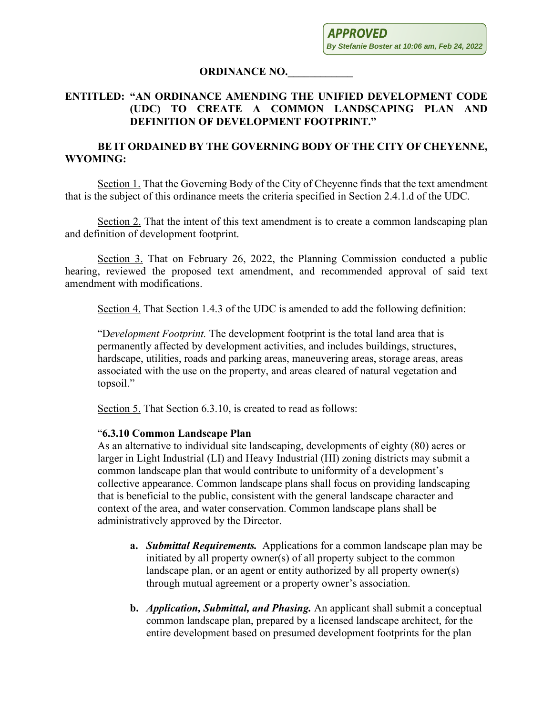**APPROVED By Stefanie Boster at 10:06 am, Feb 24, 2022**

## **ORDINANCE NO.\_\_\_\_\_\_\_\_\_\_\_\_**

## **ENTITLED: "AN ORDINANCE AMENDING THE UNIFIED DEVELOPMENT CODE (UDC) TO CREATE A COMMON LANDSCAPING PLAN AND DEFINITION OF DEVELOPMENT FOOTPRINT."**

## **BE IT ORDAINED BY THE GOVERNING BODY OF THE CITY OF CHEYENNE, WYOMING:**

Section 1. That the Governing Body of the City of Cheyenne finds that the text amendment that is the subject of this ordinance meets the criteria specified in Section 2.4.1.d of the UDC.

Section 2. That the intent of this text amendment is to create a common landscaping plan and definition of development footprint.

Section 3. That on February 26, 2022, the Planning Commission conducted a public hearing, reviewed the proposed text amendment, and recommended approval of said text amendment with modifications.

Section 4. That Section 1.4.3 of the UDC is amended to add the following definition:

"D*evelopment Footprint.* The development footprint is the total land area that is permanently affected by development activities, and includes buildings, structures, hardscape, utilities, roads and parking areas, maneuvering areas, storage areas, areas associated with the use on the property, and areas cleared of natural vegetation and topsoil."

Section 5. That Section 6.3.10, is created to read as follows:

## "**6.3.10 Common Landscape Plan**

As an alternative to individual site landscaping, developments of eighty (80) acres or larger in Light Industrial (LI) and Heavy Industrial (HI) zoning districts may submit a common landscape plan that would contribute to uniformity of a development's collective appearance. Common landscape plans shall focus on providing landscaping that is beneficial to the public, consistent with the general landscape character and context of the area, and water conservation. Common landscape plans shall be administratively approved by the Director.

- **a.** *Submittal Requirements.* Applications for a common landscape plan may be initiated by all property owner(s) of all property subject to the common landscape plan, or an agent or entity authorized by all property owner(s) through mutual agreement or a property owner's association.
- **b.** *Application, Submittal, and Phasing.* An applicant shall submit a conceptual common landscape plan, prepared by a licensed landscape architect, for the entire development based on presumed development footprints for the plan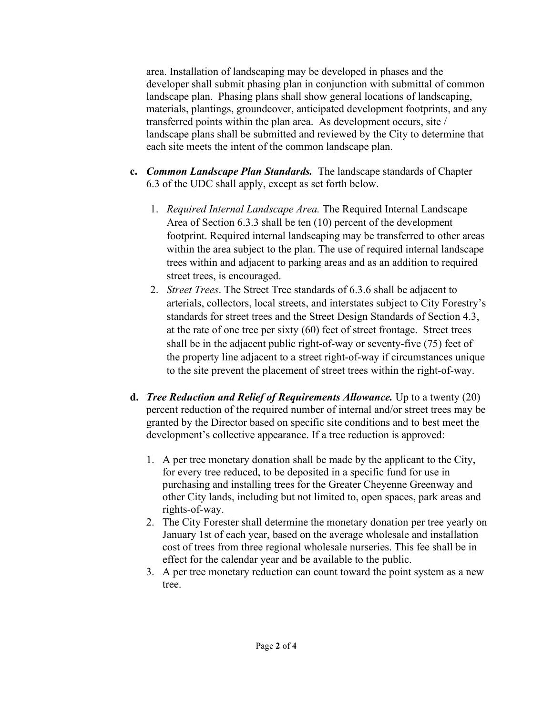area. Installation of landscaping may be developed in phases and the developer shall submit phasing plan in conjunction with submittal of common landscape plan. Phasing plans shall show general locations of landscaping, materials, plantings, groundcover, anticipated development footprints, and any transferred points within the plan area. As development occurs, site / landscape plans shall be submitted and reviewed by the City to determine that each site meets the intent of the common landscape plan.

- **c.** *Common Landscape Plan Standards.* The landscape standards of Chapter 6.3 of the UDC shall apply, except as set forth below.
	- 1. *Required Internal Landscape Area.* The Required Internal Landscape Area of Section 6.3.3 shall be ten (10) percent of the development footprint. Required internal landscaping may be transferred to other areas within the area subject to the plan. The use of required internal landscape trees within and adjacent to parking areas and as an addition to required street trees, is encouraged.
	- 2. *Street Trees*. The Street Tree standards of 6.3.6 shall be adjacent to arterials, collectors, local streets, and interstates subject to City Forestry's standards for street trees and the Street Design Standards of Section 4.3, at the rate of one tree per sixty (60) feet of street frontage. Street trees shall be in the adjacent public right-of-way or seventy-five (75) feet of the property line adjacent to a street right-of-way if circumstances unique to the site prevent the placement of street trees within the right-of-way.
- **d.** *Tree Reduction and Relief of Requirements Allowance.* Up to a twenty (20) percent reduction of the required number of internal and/or street trees may be granted by the Director based on specific site conditions and to best meet the development's collective appearance. If a tree reduction is approved:
	- 1. A per tree monetary donation shall be made by the applicant to the City, for every tree reduced, to be deposited in a specific fund for use in purchasing and installing trees for the Greater Cheyenne Greenway and other City lands, including but not limited to, open spaces, park areas and rights-of-way.
	- 2. The City Forester shall determine the monetary donation per tree yearly on January 1st of each year, based on the average wholesale and installation cost of trees from three regional wholesale nurseries. This fee shall be in effect for the calendar year and be available to the public.
	- 3. A per tree monetary reduction can count toward the point system as a new tree.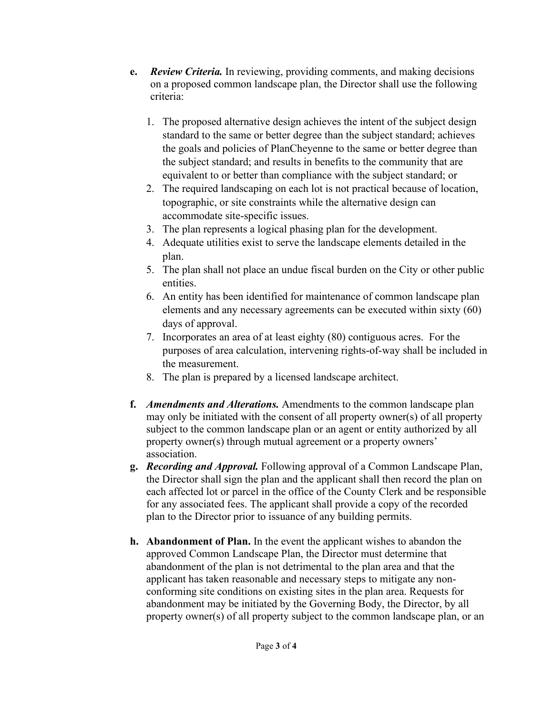- **e.** *Review Criteria.* In reviewing, providing comments, and making decisions on a proposed common landscape plan, the Director shall use the following criteria:
	- 1. The proposed alternative design achieves the intent of the subject design standard to the same or better degree than the subject standard; achieves the goals and policies of PlanCheyenne to the same or better degree than the subject standard; and results in benefits to the community that are equivalent to or better than compliance with the subject standard; or
	- 2. The required landscaping on each lot is not practical because of location, topographic, or site constraints while the alternative design can accommodate site-specific issues.
	- 3. The plan represents a logical phasing plan for the development.
	- 4. Adequate utilities exist to serve the landscape elements detailed in the plan.
	- 5. The plan shall not place an undue fiscal burden on the City or other public entities.
	- 6. An entity has been identified for maintenance of common landscape plan elements and any necessary agreements can be executed within sixty (60) days of approval.
	- 7. Incorporates an area of at least eighty (80) contiguous acres. For the purposes of area calculation, intervening rights-of-way shall be included in the measurement.
	- 8. The plan is prepared by a licensed landscape architect.
- **f.** *Amendments and Alterations.* Amendments to the common landscape plan may only be initiated with the consent of all property owner(s) of all property subject to the common landscape plan or an agent or entity authorized by all property owner(s) through mutual agreement or a property owners' association.
- **g.** *Recording and Approval.* Following approval of a Common Landscape Plan, the Director shall sign the plan and the applicant shall then record the plan on each affected lot or parcel in the office of the County Clerk and be responsible for any associated fees. The applicant shall provide a copy of the recorded plan to the Director prior to issuance of any building permits.
- **h. Abandonment of Plan.** In the event the applicant wishes to abandon the approved Common Landscape Plan, the Director must determine that abandonment of the plan is not detrimental to the plan area and that the applicant has taken reasonable and necessary steps to mitigate any nonconforming site conditions on existing sites in the plan area. Requests for abandonment may be initiated by the Governing Body, the Director, by all property owner(s) of all property subject to the common landscape plan, or an